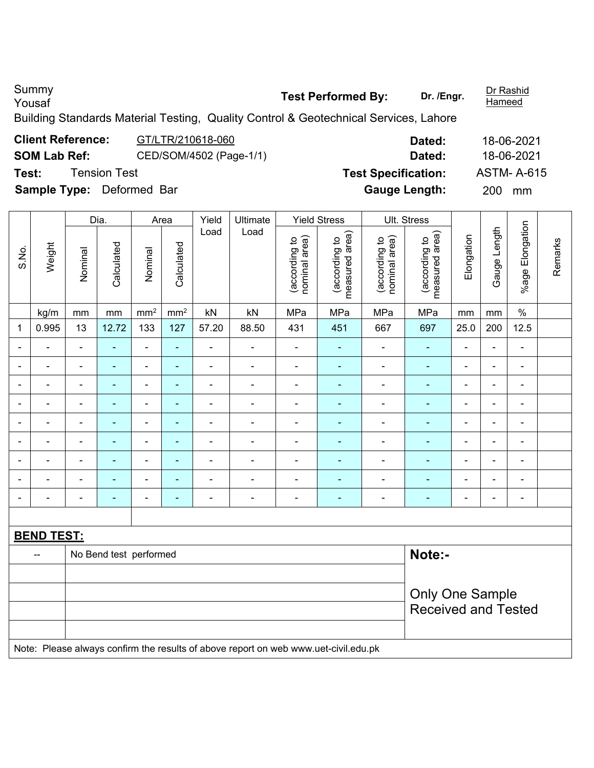Summy<br>Yousaf

**Hameed** 

Building Standards Material Testing, Quality Control & Geotechnical Services, Lahore

#### **Client Reference:** GT/LTR/210618-060 **Dated:** 18-06-2021 **SOM Lab Ref:** CED/SOM/4502 (Page-1/1) **Dated:** 18-06-2021 **Test:** Tension Test **Test Specification:** ASTM- A-615 **Sample Type:** Deformed Bar **Gauge Length:** 200 mm  $\overline{\mathsf{T}}$ ┯  $\overline{\phantom{a}}$  $\overline{\phantom{a}}$  $\overline{\phantom{0}}$ ┯ ┯

|                          |                              | Dia.<br>Yield<br>Ultimate<br><b>Yield Stress</b><br>Ult. Stress<br>Area |                        |                              |                 |                          |                                                                                     |                                |                                 |                                |                                             |                          |                |                 |         |
|--------------------------|------------------------------|-------------------------------------------------------------------------|------------------------|------------------------------|-----------------|--------------------------|-------------------------------------------------------------------------------------|--------------------------------|---------------------------------|--------------------------------|---------------------------------------------|--------------------------|----------------|-----------------|---------|
| S.No.                    | Weight                       | Nominal                                                                 | Calculated             | Nominal                      | Calculated      | Load                     | Load                                                                                | (according to<br>nominal area) | measured area)<br>(according to | nominal area)<br>(according to | (according to<br>measured area)<br>measured | Elongation               | Gauge Length   | %age Elongation | Remarks |
|                          | kg/m                         | mm                                                                      | mm                     | mm <sup>2</sup>              | mm <sup>2</sup> | kN                       | kN                                                                                  | MPa                            | MPa                             | MPa                            | MPa                                         | mm                       | mm             | $\%$            |         |
| $\mathbf 1$              | 0.995                        | 13                                                                      | 12.72                  | 133                          | 127             | 57.20                    | 88.50                                                                               | 431                            | 451                             | 667                            | 697                                         | 25.0                     | 200            | 12.5            |         |
| $\overline{\phantom{a}}$ | ۰                            | ÷                                                                       | ÷,                     | $\blacksquare$               | $\blacksquare$  | $\blacksquare$           | $\blacksquare$                                                                      | $\blacksquare$                 | $\blacksquare$                  | $\blacksquare$                 | $\blacksquare$                              | $\blacksquare$           | ÷,             | $\blacksquare$  |         |
|                          | $\qquad \qquad \blacksquare$ | $\blacksquare$                                                          | ä,                     | $\overline{\phantom{0}}$     | $\blacksquare$  | $\blacksquare$           | $\overline{\phantom{a}}$                                                            | $\blacksquare$                 | $\blacksquare$                  | $\blacksquare$                 | $\blacksquare$                              | $\blacksquare$           | $\blacksquare$ | $\blacksquare$  |         |
|                          | ٠                            | $\overline{a}$                                                          | ÷,                     | ÷,                           | $\blacksquare$  | $\blacksquare$           | $\blacksquare$                                                                      | ÷,                             | $\blacksquare$                  | $\blacksquare$                 | ÷,                                          | $\blacksquare$           | ä,             | $\blacksquare$  |         |
|                          | ۰                            | $\blacksquare$                                                          | $\blacksquare$         | $\blacksquare$               | $\blacksquare$  | $\blacksquare$           | ä,                                                                                  | $\blacksquare$                 | $\blacksquare$                  | $\blacksquare$                 | $\blacksquare$                              | $\blacksquare$           | $\blacksquare$ | $\blacksquare$  |         |
|                          |                              | $\blacksquare$                                                          | $\blacksquare$         | $\blacksquare$               | $\blacksquare$  | $\blacksquare$           | ä,                                                                                  | $\overline{a}$                 | $\blacksquare$                  | Ě.                             | $\blacksquare$                              | $\overline{\phantom{a}}$ | $\blacksquare$ | $\blacksquare$  |         |
| ۰                        | ۰                            | $\blacksquare$                                                          | ÷,                     | $\qquad \qquad \blacksquare$ | $\blacksquare$  | $\blacksquare$           | $\blacksquare$                                                                      | $\blacksquare$                 | $\blacksquare$                  | $\blacksquare$                 | $\blacksquare$                              | $\blacksquare$           | $\blacksquare$ | $\blacksquare$  |         |
|                          | $\blacksquare$               | $\blacksquare$                                                          | ÷,                     | $\qquad \qquad \blacksquare$ | $\blacksquare$  | $\blacksquare$           | $\overline{\phantom{a}}$                                                            | $\blacksquare$                 | $\blacksquare$                  | ä,                             | $\blacksquare$                              | $\blacksquare$           | $\blacksquare$ | $\blacksquare$  |         |
|                          |                              | ÷                                                                       | ä,                     | $\qquad \qquad \blacksquare$ | $\blacksquare$  | $\blacksquare$           | $\overline{\phantom{a}}$                                                            | $\blacksquare$                 | $\blacksquare$                  | ÷                              | $\blacksquare$                              | ÷                        | $\blacksquare$ | $\blacksquare$  |         |
|                          |                              | $\blacksquare$                                                          | ۰                      | $\blacksquare$               | $\blacksquare$  | $\overline{\phantom{0}}$ | $\blacksquare$                                                                      | $\overline{a}$                 | $\blacksquare$                  | $\blacksquare$                 | $\blacksquare$                              | $\overline{\phantom{0}}$ | $\blacksquare$ | $\blacksquare$  |         |
|                          |                              |                                                                         |                        |                              |                 |                          |                                                                                     |                                |                                 |                                |                                             |                          |                |                 |         |
|                          | <b>BEND TEST:</b>            |                                                                         |                        |                              |                 |                          |                                                                                     |                                |                                 |                                |                                             |                          |                |                 |         |
|                          | $\overline{a}$               |                                                                         | No Bend test performed |                              |                 |                          |                                                                                     |                                |                                 |                                | Note:-                                      |                          |                |                 |         |
|                          |                              |                                                                         |                        |                              |                 |                          |                                                                                     |                                |                                 |                                |                                             |                          |                |                 |         |
|                          |                              |                                                                         |                        |                              |                 |                          |                                                                                     |                                |                                 |                                | <b>Only One Sample</b>                      |                          |                |                 |         |
|                          |                              |                                                                         |                        |                              |                 |                          |                                                                                     |                                |                                 |                                | <b>Received and Tested</b>                  |                          |                |                 |         |
|                          |                              |                                                                         |                        |                              |                 |                          | Note: Please always confirm the results of above report on web www.uet-civil.edu.pk |                                |                                 |                                |                                             |                          |                |                 |         |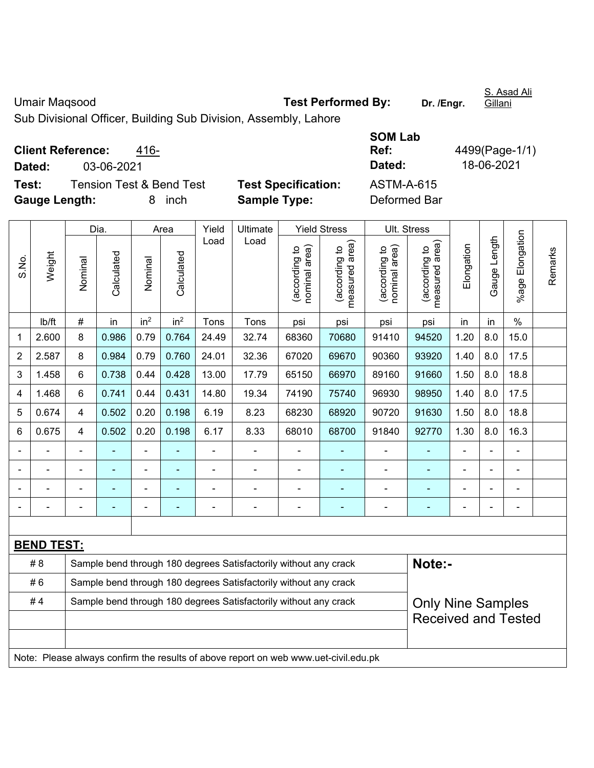Umair Maqsood **Test Performed By:** Dr. /Engr.

S. Asad Ali Gillani

Sub Divisional Officer, Building Sub Division, Assembly, Lahore

**Client Reference:** 416-

**Dated:** 03-06-2021 **Dated:** 18-06-2021

**Test:** Tension Test & Bend Test **Test Specification: Gauge Length:** 8 inch **Sample Type:** Deformed Bar

| SOM Lab       |                |
|---------------|----------------|
| Ref:          | 4499(Page-1/1) |
| <b>Dated:</b> | 18-06-2021     |
| ASTM-A-615    |                |
| Deformed Rar  |                |

|                |                   | Dia.           |                | Area                     | Yield           | Ultimate       |                                                                                     | <b>Yield Stress</b>            |                                 | Ult. Stress                    |                                   |                |              |                            |         |
|----------------|-------------------|----------------|----------------|--------------------------|-----------------|----------------|-------------------------------------------------------------------------------------|--------------------------------|---------------------------------|--------------------------------|-----------------------------------|----------------|--------------|----------------------------|---------|
| S.No.          | Weight            | Nominal        | Calculated     | Nominal                  | Calculated      | Load           | Load                                                                                | nominal area)<br>(according to | measured area)<br>(according to | (according to<br>nominal area) | (according to  <br>measured area) | Elongation     | Gauge Length | %age Elongation            | Remarks |
|                | lb/ft             | $\#$           | in             | in <sup>2</sup>          | in <sup>2</sup> | Tons           | Tons                                                                                | psi                            | psi                             | psi                            | psi                               | in             | in           | $\frac{0}{0}$              |         |
| 1              | 2.600             | 8              | 0.986          | 0.79                     | 0.764           | 24.49          | 32.74                                                                               | 68360                          | 70680                           | 91410                          | 94520                             | 1.20           | 8.0          | 15.0                       |         |
| $\overline{2}$ | 2.587             | 8              | 0.984          | 0.79                     | 0.760           | 24.01          | 32.36                                                                               | 67020                          | 69670                           | 90360                          | 93920                             | 1.40           | 8.0          | 17.5                       |         |
| 3              | 1.458             | 6              | 0.738          | 0.44                     | 0.428           | 13.00          | 17.79                                                                               | 65150                          | 66970                           | 89160                          | 91660                             | 1.50           | 8.0          | 18.8                       |         |
| $\overline{4}$ | 1.468             | 6              | 0.741          | 0.44                     | 0.431           | 14.80          | 19.34                                                                               | 74190                          | 75740                           | 96930                          | 98950                             | 1.40           | 8.0          | 17.5                       |         |
| 5              | 0.674             | 4              | 0.502          | 0.20                     | 0.198           | 6.19           | 8.23                                                                                | 68230                          | 68920                           | 90720                          | 91630                             | 1.50           | 8.0          | 18.8                       |         |
| 6              | 0.675             | 4              | 0.502          | 0.20                     | 0.198           | 6.17           | 8.33                                                                                | 68010                          | 68700                           | 91840                          | 92770                             | 1.30           | 8.0          | 16.3                       |         |
|                |                   | $\blacksquare$ |                |                          |                 |                | $\blacksquare$                                                                      | ä,                             | $\blacksquare$                  | $\blacksquare$                 |                                   |                |              | ä,                         |         |
|                | $\blacksquare$    |                | ÷,             | $\blacksquare$           |                 | ÷              | $\frac{1}{2}$                                                                       | $\blacksquare$                 | ÷                               | $\qquad \qquad \blacksquare$   | $\blacksquare$                    | $\blacksquare$ |              | $\blacksquare$             |         |
|                | $\blacksquare$    | $\blacksquare$ | $\blacksquare$ | $\blacksquare$           |                 | $\blacksquare$ | ۰                                                                                   | $\blacksquare$                 | $\blacksquare$                  | $\blacksquare$                 | $\blacksquare$                    | $\blacksquare$ |              | $\blacksquare$             |         |
|                |                   | ä,             |                | $\overline{\phantom{a}}$ |                 | ÷              | $\blacksquare$                                                                      | $\overline{\phantom{a}}$       | $\blacksquare$                  | $\blacksquare$                 | ÷,                                | $\blacksquare$ |              | $\blacksquare$             |         |
|                |                   |                |                |                          |                 |                |                                                                                     |                                |                                 |                                |                                   |                |              |                            |         |
|                | <b>BEND TEST:</b> |                |                |                          |                 |                |                                                                                     |                                |                                 |                                |                                   |                |              |                            |         |
|                | #8                |                |                |                          |                 |                | Sample bend through 180 degrees Satisfactorily without any crack                    |                                |                                 |                                | Note:-                            |                |              |                            |         |
|                | #6                |                |                |                          |                 |                | Sample bend through 180 degrees Satisfactorily without any crack                    |                                |                                 |                                |                                   |                |              |                            |         |
|                | #4                |                |                |                          |                 |                | Sample bend through 180 degrees Satisfactorily without any crack                    |                                |                                 |                                | <b>Only Nine Samples</b>          |                |              | <b>Received and Tested</b> |         |
|                |                   |                |                |                          |                 |                |                                                                                     |                                |                                 |                                |                                   |                |              |                            |         |
|                |                   |                |                |                          |                 |                | Note: Please always confirm the results of above report on web www.uet-civil.edu.pk |                                |                                 |                                |                                   |                |              |                            |         |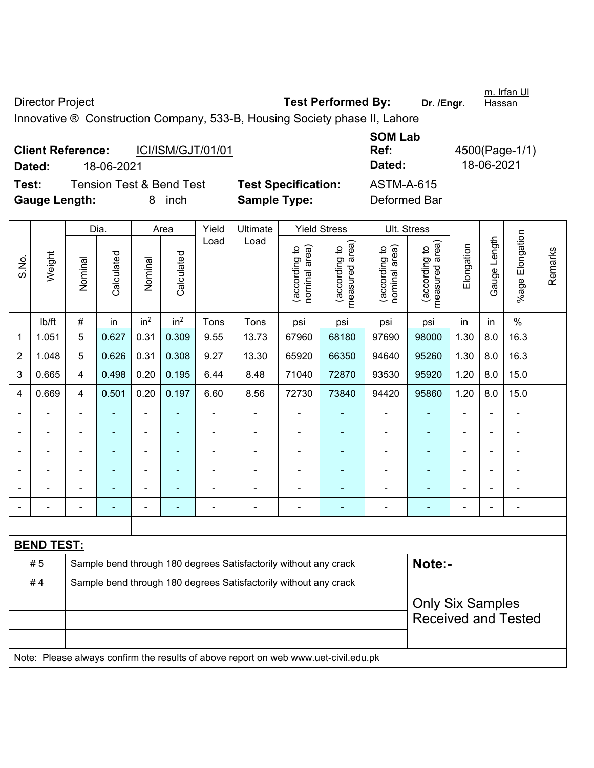Director Project **Test Performed By:** Dr. /Engr. Innovative ® Construction Company, 533-B, Housing Society phase II, Lahore

| <b>Client Reference:</b> |                                     |    | ICI/ISM/GJT/01/01 |                            | Ref:              |
|--------------------------|-------------------------------------|----|-------------------|----------------------------|-------------------|
| Dated:                   | 18-06-2021                          |    |                   |                            | Dated:            |
| Test:                    | <b>Tension Test &amp; Bend Test</b> |    |                   | <b>Test Specification:</b> | <b>ASTM-A-615</b> |
| <b>Gauge Length:</b>     |                                     | 8. | inch              | <b>Sample Type:</b>        | Deformed Bar      |

**SOM Lab Ref:** 4500(Page-1/1) **Dated:** 18-06-2021 **Dated:** 18-06-2021

|                |                   | Yield<br><b>Yield Stress</b><br>Dia.<br>Ultimate<br>Area |            |                 |                 |                |                                                                                     |                                |                                 | <b>Ult. Stress</b>             |                                 |                          |                |                      |         |
|----------------|-------------------|----------------------------------------------------------|------------|-----------------|-----------------|----------------|-------------------------------------------------------------------------------------|--------------------------------|---------------------------------|--------------------------------|---------------------------------|--------------------------|----------------|----------------------|---------|
|                |                   |                                                          |            |                 |                 |                |                                                                                     |                                |                                 |                                |                                 |                          |                |                      |         |
| S.No.          | Weight            | Nominal                                                  | Calculated | Nominal         | Calculated      | Load           | Load                                                                                | nominal area)<br>(according to | measured area)<br>(according to | nominal area)<br>(according to | (according to<br>measured area) | Elongation               | Gauge Length   | Elongation<br>%age l | Remarks |
|                | lb/ft             | #                                                        | in         | in <sup>2</sup> | in <sup>2</sup> | Tons           | Tons                                                                                | psi                            | psi                             | psi                            | psi                             | in                       | in             | $\%$                 |         |
| 1              | 1.051             | 5                                                        | 0.627      | 0.31            | 0.309           | 9.55           | 13.73                                                                               | 67960                          | 68180                           | 97690                          | 98000                           | 1.30                     | 8.0            | 16.3                 |         |
| $\overline{2}$ | 1.048             | 5                                                        | 0.626      | 0.31            | 0.308           | 9.27           | 13.30                                                                               | 65920                          | 66350                           | 94640                          | 95260                           | 1.30                     | 8.0            | 16.3                 |         |
| 3              | 0.665             | 4                                                        | 0.498      | 0.20            | 0.195           | 6.44           | 8.48                                                                                | 71040                          | 72870                           | 93530                          | 95920                           | 1.20                     | 8.0            | 15.0                 |         |
| 4              | 0.669             | 4                                                        | 0.501      | 0.20            | 0.197           | 6.60           | 8.56                                                                                | 72730                          | 73840                           | 94420                          | 95860                           | 1.20                     | 8.0            | 15.0                 |         |
|                |                   | $\blacksquare$                                           | ä,         | $\blacksquare$  |                 | $\blacksquare$ | $\overline{\phantom{a}}$                                                            | $\blacksquare$                 | $\blacksquare$                  | $\blacksquare$                 | $\blacksquare$                  | $\overline{\phantom{a}}$ |                | ä,                   |         |
|                | ä,                | ä,                                                       | ÷,         | $\blacksquare$  | ÷               | $\blacksquare$ | ÷                                                                                   | $\blacksquare$                 | ÷                               | $\blacksquare$                 | $\overline{\phantom{a}}$        |                          | $\blacksquare$ |                      |         |
|                |                   | $\blacksquare$                                           | ÷,         | $\blacksquare$  | ۰               | $\blacksquare$ | $\blacksquare$                                                                      | $\blacksquare$                 |                                 | $\blacksquare$                 |                                 |                          |                |                      |         |
|                |                   |                                                          |            | $\blacksquare$  |                 |                | ÷                                                                                   |                                |                                 | $\blacksquare$                 |                                 | $\blacksquare$           |                | L,                   |         |
|                |                   |                                                          |            |                 |                 |                |                                                                                     |                                |                                 |                                |                                 |                          |                |                      |         |
|                |                   |                                                          |            | ä,              |                 |                |                                                                                     |                                |                                 |                                |                                 |                          |                | Ē,                   |         |
|                |                   |                                                          |            |                 |                 |                |                                                                                     |                                |                                 |                                |                                 |                          |                |                      |         |
|                | <b>BEND TEST:</b> |                                                          |            |                 |                 |                |                                                                                     |                                |                                 |                                |                                 |                          |                |                      |         |
|                | #5                |                                                          |            |                 |                 |                | Sample bend through 180 degrees Satisfactorily without any crack                    |                                |                                 |                                | Note:-                          |                          |                |                      |         |
|                | #4                |                                                          |            |                 |                 |                | Sample bend through 180 degrees Satisfactorily without any crack                    |                                |                                 |                                |                                 |                          |                |                      |         |
|                |                   |                                                          |            |                 |                 |                |                                                                                     |                                |                                 |                                | <b>Only Six Samples</b>         |                          |                |                      |         |
|                |                   |                                                          |            |                 |                 |                |                                                                                     |                                |                                 |                                | <b>Received and Tested</b>      |                          |                |                      |         |
|                |                   |                                                          |            |                 |                 |                |                                                                                     |                                |                                 |                                |                                 |                          |                |                      |         |
|                |                   |                                                          |            |                 |                 |                | Note: Please always confirm the results of above report on web www.uet-civil.edu.pk |                                |                                 |                                |                                 |                          |                |                      |         |

m. Irfan Ul **Hassan**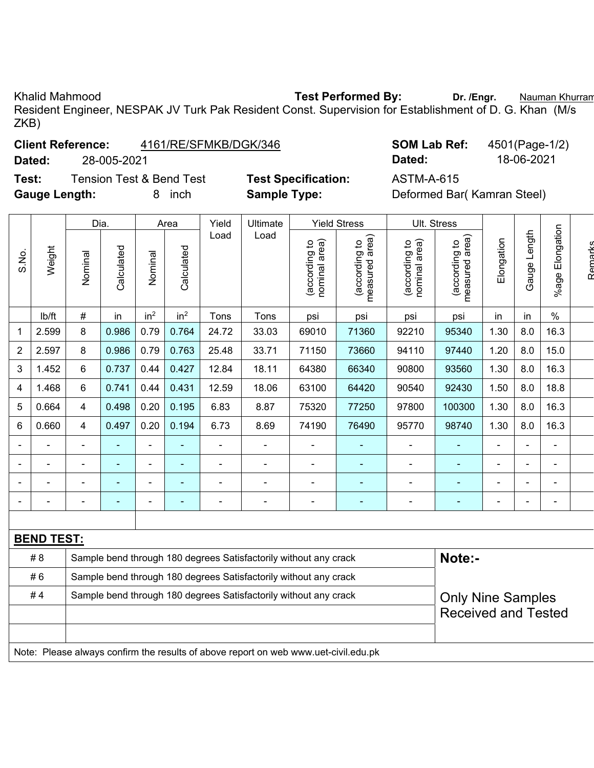ZKB)

S.No.

Khalid Mahmood **Test Performed By:** Dr. /Engr. **Nauman Khurran** Resident Engineer, NESPAK JV Turk Pak Resident Const. Supervision for Establishment of D. G. Khan (M/s

### **Client Reference:** 4161/RE/SFMKB/DGK/346 **SOM Lab Ref:** 4501(Page-1/2)

**Dated:** 28-005-2021 **Dated:** 18-06-2021

**Test:** Tension Test & Bend Test **Test Specification:** ASTM-A-615 **Gauge Length:** 8 inch **Sample Type:** Deformed Bar( Kamran Steel)

|                |        | Dia.    |            |                 | Area            | Yield | Ultimate |                                     | <b>Yield Stress</b>                  |                                     | Ult. Stress                                 |            |                                         |                    |  |
|----------------|--------|---------|------------|-----------------|-----------------|-------|----------|-------------------------------------|--------------------------------------|-------------------------------------|---------------------------------------------|------------|-----------------------------------------|--------------------|--|
| S.No.          | Weight | Nominal | Calculated | Nominal         | Calculated      | Load  | Load     | area)<br>요<br>(according<br>nominal | area)<br>요<br>(according<br>measured | area)<br>요<br>(according<br>nominal | rea)<br>₽<br>according<br>ω<br>ᢦ<br>measure | Elongation | ength<br>۰<br>Gauge<br>in<br>8.0<br>8.0 | Elongation<br>%age |  |
|                | lb/ft  | #       | in         | in <sup>2</sup> | in <sup>2</sup> | Tons  | Tons     | psi                                 | psi                                  | psi                                 | psi                                         | in         |                                         | %                  |  |
| 1              | 2.599  | 8       | 0.986      | 0.79            | 0.764           | 24.72 | 33.03    | 69010                               | 71360                                | 92210                               | 95340                                       | 1.30       |                                         | 16.3               |  |
| $\overline{2}$ | 2.597  | 8       | 0.986      | 0.79            | 0.763           | 25.48 | 33.71    | 71150                               | 73660                                | 94110                               | 97440                                       | 1.20       |                                         | 15.0               |  |
| 3              | 1.452  | 6       | 0.737      | 0.44            | 0.427           | 12.84 | 18.11    | 64380                               | 66340                                | 90800                               | 93560                                       | .30        | 8.0                                     | 16.3               |  |

|   | # 6               | Sample bend through 180 degrees Satisfactorily without any crack |       |      |       |       |       |       |       |                          |                          |                          |                          |      |  |
|---|-------------------|------------------------------------------------------------------|-------|------|-------|-------|-------|-------|-------|--------------------------|--------------------------|--------------------------|--------------------------|------|--|
|   | # 8               | Sample bend through 180 degrees Satisfactorily without any crack |       |      |       |       |       |       |       |                          | Note:-                   |                          |                          |      |  |
|   | <b>BEND TEST:</b> |                                                                  |       |      |       |       |       |       |       |                          |                          |                          |                          |      |  |
|   |                   |                                                                  |       |      |       |       |       |       |       |                          |                          |                          |                          |      |  |
|   |                   | $\equiv$                                                         |       |      |       |       |       |       |       | $\overline{\phantom{0}}$ | $\overline{\phantom{0}}$ | $\overline{\phantom{0}}$ | $\overline{\phantom{0}}$ | -    |  |
|   |                   | -                                                                |       |      |       |       |       |       |       | $\overline{\phantom{a}}$ | $\overline{\phantom{0}}$ | -                        |                          |      |  |
|   |                   | ۰                                                                |       |      |       |       |       |       |       | $\overline{\phantom{0}}$ | $\overline{\phantom{0}}$ |                          |                          |      |  |
|   |                   |                                                                  |       |      |       |       |       |       |       | $\overline{\phantom{0}}$ | ۳                        |                          |                          |      |  |
| 6 | 0.660             | 4                                                                | 0.497 | 0.20 | 0.194 | 6.73  | 8.69  | 74190 | 76490 | 95770                    | 98740                    | 1.30                     | 8.0                      | 16.3 |  |
| 5 | 0.664             | 4                                                                | 0.498 | 0.20 | 0.195 | 6.83  | 8.87  | 75320 | 77250 | 97800                    | 100300                   | 1.30                     | 8.0                      | 16.3 |  |
| 4 | 1.468             | 6                                                                | 0.741 | 0.44 | 0.431 | 12.59 | 18.06 | 63100 | 64420 | 90540                    | 92430                    | 1.50                     | 8.0                      | 18.8 |  |

| # 4 | Sample bend through 180 degrees Satisfactorily without any crack | <b>Only Nine Samples</b>   |
|-----|------------------------------------------------------------------|----------------------------|
|     |                                                                  | <b>Received and Tested</b> |
|     |                                                                  |                            |

Note: Please always confirm the results of above report on web www.uet-civil.edu.pk

Remarks

Ramarks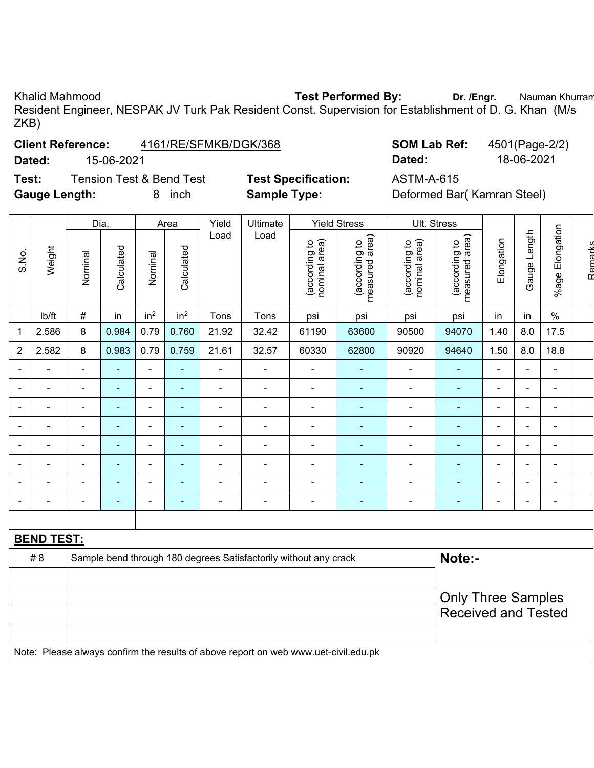Khalid Mahmood **Test Performed By:** Dr. /Engr. **Nauman Khurran** Resident Engineer, NESPAK JV Turk Pak Resident Const. Supervision for Establishment of D. G. Khan (M/s ZKB)

### **Client Reference:** 4161/RE/SFMKB/DGK/368 **SOM Lab Ref:** 4501(Page-2/2)

# **Dated:** 15-06-2021 **Dated:** 18-06-2021

**Test:** Tension Test & Bend Test **Test Specification:** ASTM-A-615 **Gauge Length:** 8 inch **Sample Type:** Deformed Bar( Kamran Steel)

|                |                   |                          | Dia.           |                          | Area            | Yield          | Ultimate                                                         |                                | <b>Yield Stress</b>             |                                | Ult. Stress                     |                          |                |                          |         |
|----------------|-------------------|--------------------------|----------------|--------------------------|-----------------|----------------|------------------------------------------------------------------|--------------------------------|---------------------------------|--------------------------------|---------------------------------|--------------------------|----------------|--------------------------|---------|
| S.No.          | Weight            | Nominal                  | Calculated     | Nominal                  | Calculated      | Load           | Load                                                             | nominal area)<br>(according to | measured area)<br>(according to | nominal area)<br>(according to | measured area)<br>(according to | Elongation               | Gauge Length   | %age Elongation          | Remarks |
|                | lb/ft             | $\#$                     | in             | in <sup>2</sup>          | in <sup>2</sup> | Tons           | Tons                                                             | psi                            | psi                             | psi                            | psi                             | in                       | in             | $\%$                     |         |
| 1              | 2.586             | 8                        | 0.984          | 0.79                     | 0.760           | 21.92          | 32.42                                                            | 61190                          | 63600                           | 90500                          | 94070                           | 1.40                     | 8.0            | 17.5                     |         |
| $\overline{2}$ | 2.582             | 8                        | 0.983          | 0.79                     | 0.759           | 21.61          | 32.57                                                            | 60330                          | 62800                           | 90920                          | 94640                           | 1.50                     | 8.0            | 18.8                     |         |
|                |                   | ۰                        | ٠              | $\blacksquare$           | $\blacksquare$  | ۰              |                                                                  |                                | ۰                               | -                              | ۰                               | $\blacksquare$           | $\blacksquare$ | $\blacksquare$           |         |
|                |                   | $\blacksquare$           | ۰              | $\blacksquare$           | ٠               | $\blacksquare$ | $\overline{\phantom{0}}$                                         | ۰                              | $\blacksquare$                  |                                | ÷                               | $\blacksquare$           | $\blacksquare$ | $\overline{\phantom{0}}$ |         |
|                |                   | $\blacksquare$           | ۰              | $\overline{\phantom{a}}$ |                 |                |                                                                  |                                |                                 |                                | ÷                               | $\blacksquare$           | $\blacksquare$ |                          |         |
|                |                   | $\blacksquare$           | ۰              | $\blacksquare$           | $\blacksquare$  | $\blacksquare$ |                                                                  |                                |                                 | -                              | ÷                               | ÷                        | $\blacksquare$ | $\overline{\phantom{0}}$ |         |
|                |                   | $\overline{\phantom{0}}$ | ۰              | $\blacksquare$           |                 | -              |                                                                  |                                |                                 |                                | $\blacksquare$                  | $\blacksquare$           | $\blacksquare$ |                          |         |
|                |                   | $\blacksquare$           |                | $\overline{\phantom{a}}$ |                 | $\blacksquare$ |                                                                  |                                |                                 |                                | ÷                               | $\blacksquare$           | $\blacksquare$ |                          |         |
|                |                   | $\blacksquare$           | $\blacksquare$ | $\blacksquare$           | $\blacksquare$  | $\blacksquare$ | $\blacksquare$                                                   | $\blacksquare$                 | $\blacksquare$                  | -                              | $\blacksquare$                  | $\blacksquare$           | $\blacksquare$ | $\blacksquare$           |         |
|                |                   | ۰                        | ۰              | $\overline{\phantom{a}}$ | $\blacksquare$  | $\blacksquare$ | $\overline{\phantom{0}}$                                         | ۰                              | ۰                               | -                              | $\blacksquare$                  | $\overline{\phantom{0}}$ | $\blacksquare$ | $\blacksquare$           |         |
|                |                   |                          |                |                          |                 |                |                                                                  |                                |                                 |                                |                                 |                          |                |                          |         |
|                | <b>BEND TEST:</b> |                          |                |                          |                 |                |                                                                  |                                |                                 |                                |                                 |                          |                |                          |         |
|                | # 8               |                          |                |                          |                 |                | Sample bend through 180 degrees Satisfactorily without any crack |                                |                                 |                                | Note:-                          |                          |                |                          |         |
|                |                   |                          |                |                          |                 |                |                                                                  |                                |                                 |                                |                                 |                          |                |                          |         |

Only Three Samples Received and Tested

Note: Please always confirm the results of above report on web www.uet-civil.edu.pk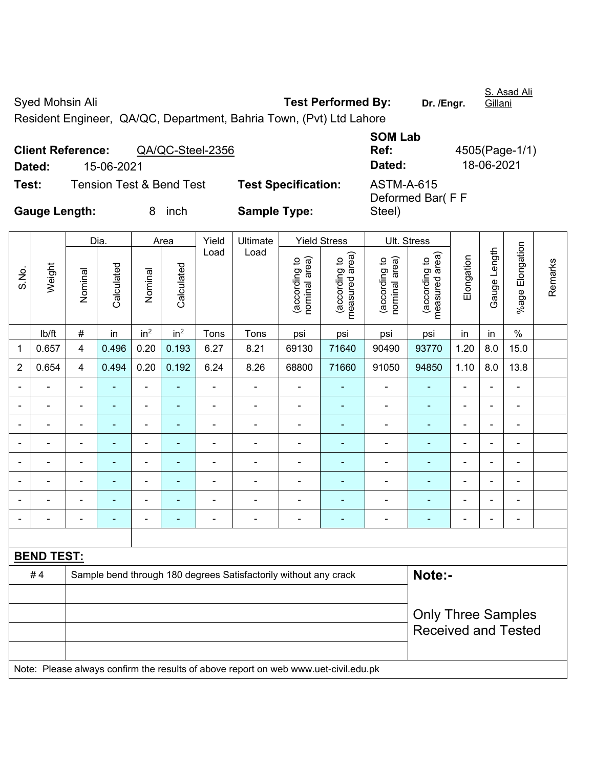Syed Mohsin Ali **Test Performed By:** Dr. /Engr. Gillani Resident Engineer, QA/QC, Department, Bahria Town, (Pvt) Ltd Lahore **SOM Lab** 

|                      |                          |                                     |                            | UUIT LAD          |                |
|----------------------|--------------------------|-------------------------------------|----------------------------|-------------------|----------------|
|                      | <b>Client Reference:</b> | QA/QC-Steel-2356                    |                            | Ref:              | 4505(Page-1/1) |
| Dated:               | 15-06-2021               |                                     |                            | Dated:            | 18-06-2021     |
| Test:                |                          | <b>Tension Test &amp; Bend Test</b> | <b>Test Specification:</b> | <b>ASTM-A-615</b> |                |
|                      |                          |                                     |                            | Deformed Bar(FF   |                |
| <b>Gauge Length:</b> |                          | inch                                | <b>Sample Type:</b>        | Steel)            |                |

|                |                          |                | Dia.                     |                          | Area                  | Yield                    | Ultimate                                                                            |                                | <b>Yield Stress</b>             |                                | Ult. Stress                     |                |                                                         |                          |         |  |
|----------------|--------------------------|----------------|--------------------------|--------------------------|-----------------------|--------------------------|-------------------------------------------------------------------------------------|--------------------------------|---------------------------------|--------------------------------|---------------------------------|----------------|---------------------------------------------------------|--------------------------|---------|--|
| S.No.          | Weight                   | Nominal        | Calculated               | Nominal                  | Calculated            | Load                     | Load                                                                                | (according to<br>nominal area) | (according to<br>measured area) | (according to<br>nominal area) | (according to<br>measured area) | Elongation     | Gauge Length                                            | %age Elongation          | Remarks |  |
|                | lb/ft                    | $\#$           | in                       | in <sup>2</sup>          | in <sup>2</sup>       | Tons                     | Tons                                                                                | psi                            | psi                             | psi                            | psi                             | in             | in                                                      | $\%$                     |         |  |
| 1              | 0.657                    | 4              | 0.496                    | 0.20                     | 0.193                 | 6.27                     | 8.21                                                                                | 69130                          | 71640                           | 90490                          | 93770                           | 1.20           | 8.0                                                     | 15.0                     |         |  |
| $\overline{2}$ | 0.654                    | 4              | 0.494                    | 0.20                     | 0.192                 | 6.24                     | 8.26                                                                                | 68800                          | 71660                           | 91050                          | 94850                           | 1.10           | 8.0                                                     | 13.8                     |         |  |
| $\blacksquare$ | $\blacksquare$           | $\blacksquare$ | $\blacksquare$           | $\overline{\phantom{a}}$ | $\tilde{\phantom{a}}$ | $\blacksquare$           | $\overline{\phantom{a}}$                                                            | ÷,                             | $\blacksquare$                  | $\blacksquare$                 | ä,                              | $\blacksquare$ | $\blacksquare$                                          | $\overline{\phantom{a}}$ |         |  |
|                |                          |                |                          |                          |                       | $\blacksquare$           | L,                                                                                  | ä,                             |                                 | $\blacksquare$                 | $\blacksquare$                  |                |                                                         | ä,                       |         |  |
|                |                          |                |                          |                          |                       |                          | $\overline{a}$                                                                      | $\blacksquare$                 | $\blacksquare$                  | $\blacksquare$                 | $\blacksquare$                  |                |                                                         | $\sim$                   |         |  |
|                |                          |                |                          |                          |                       |                          |                                                                                     |                                |                                 |                                |                                 |                |                                                         |                          |         |  |
| ٠              | $\overline{\phantom{0}}$ | $\blacksquare$ | $\overline{\phantom{0}}$ | $\overline{\phantom{0}}$ | $\blacksquare$        | $\overline{\phantom{0}}$ | ÷                                                                                   | $\blacksquare$                 | ٠                               | $\overline{\phantom{0}}$       | $\blacksquare$                  | ٠              | $\blacksquare$                                          | $\blacksquare$           |         |  |
| ٠              | $\blacksquare$           | $\blacksquare$ | $\blacksquare$           | $\blacksquare$           | $\blacksquare$        | $\blacksquare$           | ÷                                                                                   | $\blacksquare$                 | ٠                               | $\blacksquare$                 | $\blacksquare$                  | Ē,             | $\blacksquare$                                          | $\blacksquare$           |         |  |
|                | $\blacksquare$           | $\blacksquare$ | $\blacksquare$           | $\overline{a}$           | $\blacksquare$        | $\blacksquare$           | $\blacksquare$                                                                      | $\blacksquare$                 |                                 | $\overline{\phantom{0}}$       | ٠                               | ٠              |                                                         | $\blacksquare$           |         |  |
|                | $\blacksquare$           | ä,             |                          | $\overline{a}$           |                       | $\blacksquare$           | Ē,                                                                                  | $\blacksquare$                 | $\overline{a}$                  | ÷,                             | $\blacksquare$                  | L,             |                                                         | $\blacksquare$           |         |  |
|                |                          |                |                          |                          |                       |                          |                                                                                     |                                |                                 |                                |                                 |                |                                                         |                          |         |  |
|                | <b>BEND TEST:</b>        |                |                          |                          |                       |                          |                                                                                     |                                |                                 |                                |                                 |                |                                                         |                          |         |  |
|                | #4                       |                |                          |                          |                       |                          | Sample bend through 180 degrees Satisfactorily without any crack                    |                                |                                 |                                | Note:-                          |                |                                                         |                          |         |  |
|                |                          |                |                          |                          |                       |                          |                                                                                     |                                |                                 |                                |                                 |                |                                                         |                          |         |  |
|                |                          |                |                          |                          |                       |                          |                                                                                     |                                |                                 |                                |                                 |                | <b>Only Three Samples</b><br><b>Received and Tested</b> |                          |         |  |
|                |                          |                |                          |                          |                       |                          | Note: Please always confirm the results of above report on web www.uet-civil.edu.pk |                                |                                 |                                |                                 |                |                                                         |                          |         |  |

S. Asad Ali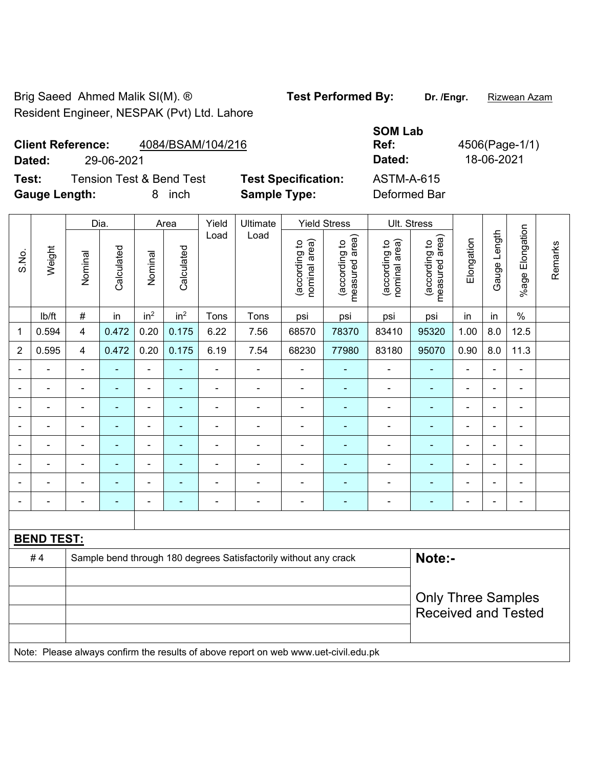Brig Saeed Ahmed Malik SI(M). ® **Test Performed By:** Dr. /Engr. Rizwean Azam Resident Engineer, NESPAK (Pvt) Ltd. Lahore

**Client Reference:** 4084/BSAM/104/216 **Dated:** 29-06-2021 **Dated:** 18-06-2021

**Gauge Length:** 8 inch **Sample Type:** Deformed Bar

**Test:** Tension Test & Bend Test **Test Specification:** ASTM-A-615

|                |                   |                | Dia.           |                 | Area            | Yield          | Ultimate                                                                            |                                | <b>Yield Stress</b>             | Ult. Stress                    |                                 |                |                |                          |         |
|----------------|-------------------|----------------|----------------|-----------------|-----------------|----------------|-------------------------------------------------------------------------------------|--------------------------------|---------------------------------|--------------------------------|---------------------------------|----------------|----------------|--------------------------|---------|
| S.No.          | Weight            | Nominal        | Calculated     | Nominal         | Calculated      | Load           | Load                                                                                | nominal area)<br>(according to | measured area)<br>(according to | (according to<br>nominal area) | (according to<br>measured area) | Elongation     | Gauge Length   | Elongation<br>$%$ age    | Remarks |
|                | lb/ft             | $\#$           | in             | in <sup>2</sup> | in <sup>2</sup> | Tons           | Tons                                                                                | psi                            | psi                             | psi                            | psi                             | in             | in             | $\%$                     |         |
| 1              | 0.594             | 4              | 0.472          | 0.20            | 0.175           | 6.22           | 7.56                                                                                | 68570                          | 78370                           | 83410                          | 95320                           | 1.00           | 8.0            | 12.5                     |         |
| $\overline{2}$ | 0.595             | $\overline{4}$ | 0.472          | 0.20            | 0.175           | 6.19           | 7.54                                                                                | 68230                          | 77980                           | 83180                          | 95070                           | 0.90           | 8.0            | 11.3                     |         |
|                |                   | $\blacksquare$ | ä,             | $\blacksquare$  |                 | ä,             | $\blacksquare$                                                                      | ÷,                             |                                 | $\blacksquare$                 | $\blacksquare$                  | $\blacksquare$ |                | $\blacksquare$           |         |
|                |                   | ÷              | ä,             | $\blacksquare$  |                 |                | $\blacksquare$                                                                      | ä,                             |                                 | $\blacksquare$                 | $\blacksquare$                  | $\blacksquare$ |                | ÷                        |         |
|                |                   |                |                |                 |                 |                |                                                                                     |                                |                                 |                                |                                 |                |                | ۰                        |         |
|                |                   |                |                | $\blacksquare$  |                 |                | $\blacksquare$                                                                      | ÷                              |                                 |                                |                                 |                |                | ÷                        |         |
|                | $\blacksquare$    | ÷,             | $\blacksquare$ | ä,              | $\blacksquare$  | ä,             | $\blacksquare$                                                                      | ä,                             |                                 | $\blacksquare$                 | $\blacksquare$                  | $\blacksquare$ | $\blacksquare$ | $\blacksquare$           |         |
|                |                   | ÷,             | $\blacksquare$ | $\blacksquare$  | ٠               | $\blacksquare$ | $\blacksquare$                                                                      | ÷                              |                                 | Ē,                             | $\blacksquare$                  | $\blacksquare$ |                | $\frac{1}{2}$            |         |
|                |                   |                |                | Ē,              |                 |                | $\blacksquare$                                                                      | $\blacksquare$                 |                                 | $\blacksquare$                 | $\blacksquare$                  |                |                | ÷                        |         |
|                |                   | ä,             |                | $\blacksquare$  |                 |                | $\blacksquare$                                                                      | $\blacksquare$                 |                                 |                                |                                 | $\blacksquare$ |                | $\overline{\phantom{a}}$ |         |
|                |                   |                |                |                 |                 |                |                                                                                     |                                |                                 |                                |                                 |                |                |                          |         |
|                | <b>BEND TEST:</b> |                |                |                 |                 |                |                                                                                     |                                |                                 |                                |                                 |                |                |                          |         |
|                | #4                |                |                |                 |                 |                | Sample bend through 180 degrees Satisfactorily without any crack                    |                                |                                 |                                | Note:-                          |                |                |                          |         |
|                |                   |                |                |                 |                 |                |                                                                                     |                                |                                 |                                |                                 |                |                |                          |         |
|                |                   |                |                |                 |                 |                |                                                                                     |                                |                                 |                                | <b>Only Three Samples</b>       |                |                |                          |         |
|                |                   |                |                |                 |                 |                |                                                                                     |                                |                                 |                                | <b>Received and Tested</b>      |                |                |                          |         |
|                |                   |                |                |                 |                 |                |                                                                                     |                                |                                 |                                |                                 |                |                |                          |         |
|                |                   |                |                |                 |                 |                | Note: Please always confirm the results of above report on web www.uet-civil.edu.pk |                                |                                 |                                |                                 |                |                |                          |         |

**SOM Lab Ref:** 4506(Page-1/1)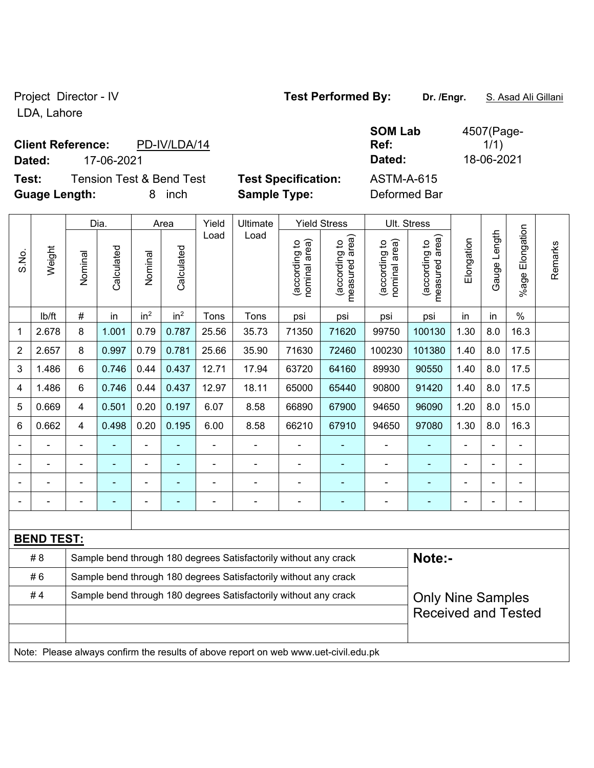### Project Director - IV **Test Performed By:** Dr. /Engr. **S. Asad Ali Gillani**

LDA, Lahore

## **Client Reference:** PD-IV/LDA/14

**Test:** Tension Test & Bend Test **Test Specification:** ASTM-A-615 **Guage Length:** 8 inch **Sample Type:** Deformed Bar

**SOM Lab Ref:**  4507(Page- $1/1)$ **Dated:** 17-06-2021 **Dated:** 18-06-2021

|                | Weight            |                                                                  | Dia.                     |                 | Area                     |                | Ultimate                                                                            |                                | <b>Yield Stress</b>             |                                | Ult. Stress                     |            |                                                        |                          |         |  |
|----------------|-------------------|------------------------------------------------------------------|--------------------------|-----------------|--------------------------|----------------|-------------------------------------------------------------------------------------|--------------------------------|---------------------------------|--------------------------------|---------------------------------|------------|--------------------------------------------------------|--------------------------|---------|--|
| S.No.          |                   | Nominal                                                          | Calculated               | Nominal         | Calculated               | Load           | Load                                                                                | nominal area)<br>(according to | (according to<br>measured area) | (according to<br>nominal area) | (according to<br>measured area) | Elongation | Gauge Length                                           | Elongation<br>$%$ age    | Remarks |  |
|                | lb/ft             | $\#$                                                             | in                       | in <sup>2</sup> | in <sup>2</sup>          | Tons           | Tons                                                                                | psi                            | psi                             | psi                            | psi                             | in         | in                                                     | $\%$                     |         |  |
| 1              | 2.678             | 8                                                                | 1.001                    | 0.79            | 0.787                    | 25.56          | 35.73                                                                               | 71350                          | 71620                           | 99750                          | 100130                          | 1.30       | 8.0                                                    | 16.3                     |         |  |
| $\overline{2}$ | 2.657             | 8                                                                | 0.997                    | 0.79            | 0.781                    | 25.66          | 35.90                                                                               | 71630                          | 72460                           | 100230                         | 101380                          | 1.40       | 8.0                                                    | 17.5                     |         |  |
| 3              | 1.486             | 6                                                                | 0.746                    | 0.44            | 0.437                    | 12.71          | 17.94                                                                               | 63720                          | 64160                           | 89930                          | 90550                           | 1.40       | 8.0                                                    | 17.5                     |         |  |
| 4              | 1.486             | 6                                                                | 0.746                    | 0.44            | 0.437                    | 12.97          | 18.11                                                                               | 65000                          | 65440                           | 90800                          | 91420                           | 1.40       | 8.0                                                    | 17.5                     |         |  |
| 5              | 0.669             | $\overline{\mathbf{4}}$                                          | 0.501                    | 0.20            | 0.197                    | 6.07           | 8.58                                                                                | 66890                          | 67900                           | 94650                          | 96090                           | 1.20       | 8.0                                                    | 15.0                     |         |  |
| 6              | 0.662             | $\overline{\mathbf{4}}$                                          | 0.498                    | 0.20            | 0.195                    | 6.00           | 8.58                                                                                | 66210                          | 67910                           | 94650                          | 97080                           | 1.30       | 8.0                                                    | 16.3                     |         |  |
|                |                   | ÷,                                                               |                          | ä,              |                          |                | ä,                                                                                  |                                |                                 | $\blacksquare$                 |                                 |            |                                                        |                          |         |  |
|                |                   |                                                                  |                          | -               |                          |                | ÷                                                                                   | $\blacksquare$                 |                                 |                                |                                 |            |                                                        |                          |         |  |
|                |                   |                                                                  |                          | ÷,              | $\overline{\phantom{0}}$ | $\blacksquare$ | $\blacksquare$                                                                      | $\blacksquare$                 | $\blacksquare$                  | Ē,                             | ä,                              | ä,         | $\blacksquare$                                         | $\blacksquare$           |         |  |
| -              |                   |                                                                  | $\overline{\phantom{a}}$ | -               | $\blacksquare$           |                | $\blacksquare$                                                                      | $\blacksquare$                 | $\overline{\phantom{0}}$        | $\blacksquare$                 | $\blacksquare$                  |            |                                                        | $\overline{\phantom{a}}$ |         |  |
|                |                   |                                                                  |                          |                 |                          |                |                                                                                     |                                |                                 |                                |                                 |            |                                                        |                          |         |  |
|                | <b>BEND TEST:</b> |                                                                  |                          |                 |                          |                |                                                                                     |                                |                                 |                                |                                 |            |                                                        |                          |         |  |
|                | # 8               |                                                                  |                          |                 |                          |                | Sample bend through 180 degrees Satisfactorily without any crack                    |                                |                                 |                                | Note:-                          |            |                                                        |                          |         |  |
|                | #6                |                                                                  |                          |                 |                          |                | Sample bend through 180 degrees Satisfactorily without any crack                    |                                |                                 |                                |                                 |            |                                                        |                          |         |  |
|                | #4                | Sample bend through 180 degrees Satisfactorily without any crack |                          |                 |                          |                |                                                                                     |                                |                                 |                                |                                 |            | <b>Only Nine Samples</b><br><b>Received and Tested</b> |                          |         |  |
|                |                   |                                                                  |                          |                 |                          |                |                                                                                     |                                |                                 |                                |                                 |            |                                                        |                          |         |  |
|                |                   |                                                                  |                          |                 |                          |                |                                                                                     |                                |                                 |                                |                                 |            |                                                        |                          |         |  |
|                |                   |                                                                  |                          |                 |                          |                | Note: Please always confirm the results of above report on web www.uet-civil.edu.pk |                                |                                 |                                |                                 |            |                                                        |                          |         |  |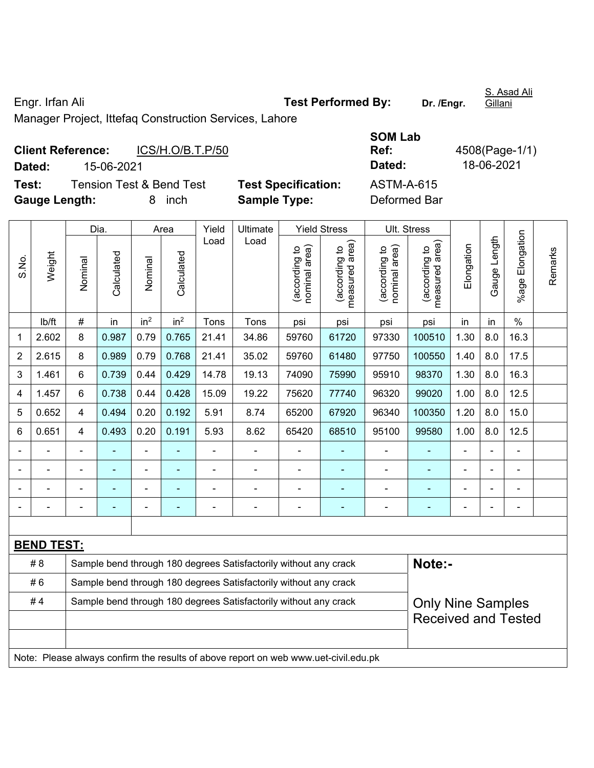### Engr. Irfan Ali **Test Performed By: Dr. /Engr.**

S. Asad Ali Gillani

Manager Project, Ittefaq Construction Services, Lahore

| <b>Client Reference:</b> |            | ICS/H.O/B.T.P/50         |                            | Ref:         | 4508(Page-1/ |  |  |
|--------------------------|------------|--------------------------|----------------------------|--------------|--------------|--|--|
| Dated:                   | 15-06-2021 |                          |                            | Dated:       | 18-06-2021   |  |  |
| Test:                    |            | Tension Test & Bend Test | <b>Test Specification:</b> | ASTM-A-615   |              |  |  |
| <b>Gauge Length:</b>     |            | inch<br>8                | <b>Sample Type:</b>        | Deformed Bar |              |  |  |

| <b>SOM Lab</b> |                |
|----------------|----------------|
| Ref:           | 4508(Page-1/1) |
| Dated:         | 18-06-2021     |
| ASTM-A-615     |                |
| Deformed Bar   |                |

|                         | Weight                                                                              |                | Dia.           | Area                  |                 | Yield | Ultimate                                                         |                                    | <b>Yield Stress</b>            |                                 | Ult. Stress                |                |     | %age Elongation              | Remarks |
|-------------------------|-------------------------------------------------------------------------------------|----------------|----------------|-----------------------|-----------------|-------|------------------------------------------------------------------|------------------------------------|--------------------------------|---------------------------------|----------------------------|----------------|-----|------------------------------|---------|
| S.No.                   |                                                                                     | Nominal        | Calculated     | Calculated<br>Nominal | Load            | Load  | nominal area)<br>(according to                                   | area)<br>(according to<br>measured | nominal area)<br>(according to | (according to<br>measured area) | Elongation                 | Gauge Length   |     |                              |         |
|                         | lb/ft                                                                               | #              | in             | in <sup>2</sup>       | in <sup>2</sup> | Tons  | Tons                                                             | psi                                | psi                            | psi                             | psi                        | in             | in  | $\%$                         |         |
| 1                       | 2.602                                                                               | 8              | 0.987          | 0.79                  | 0.765           | 21.41 | 34.86                                                            | 59760                              | 61720                          | 97330                           | 100510                     | 1.30           | 8.0 | 16.3                         |         |
| $\overline{2}$          | 2.615                                                                               | 8              | 0.989          | 0.79                  | 0.768           | 21.41 | 35.02                                                            | 59760                              | 61480                          | 97750                           | 100550                     | 1.40           | 8.0 | 17.5                         |         |
| 3                       | 1.461                                                                               | 6              | 0.739          | 0.44                  | 0.429           | 14.78 | 19.13                                                            | 74090                              | 75990                          | 95910                           | 98370                      | 1.30           | 8.0 | 16.3                         |         |
| $\overline{\mathbf{4}}$ | 1.457                                                                               | 6              | 0.738          | 0.44                  | 0.428           | 15.09 | 19.22                                                            | 75620                              | 77740                          | 96320                           | 99020                      | 1.00           | 8.0 | 12.5                         |         |
| 5                       | 0.652                                                                               | 4              | 0.494          | 0.20                  | 0.192           | 5.91  | 8.74                                                             | 65200                              | 67920                          | 96340                           | 100350                     | 1.20           | 8.0 | 15.0                         |         |
| 6                       | 0.651                                                                               | 4              | 0.493          | 0.20                  | 0.191           | 5.93  | 8.62                                                             | 65420                              | 68510                          | 95100                           | 99580                      | 1.00           | 8.0 | 12.5                         |         |
| $\blacksquare$          |                                                                                     | $\blacksquare$ |                |                       |                 |       |                                                                  |                                    |                                |                                 |                            | $\overline{a}$ |     |                              |         |
| $\blacksquare$          |                                                                                     |                |                |                       |                 |       |                                                                  |                                    |                                |                                 |                            |                |     | $\blacksquare$               |         |
|                         |                                                                                     |                |                |                       |                 |       |                                                                  | $\overline{a}$                     |                                |                                 |                            |                |     | $\blacksquare$               |         |
| $\blacksquare$          |                                                                                     | Ē,             | $\blacksquare$ | $\blacksquare$        |                 |       | $\blacksquare$                                                   | $\blacksquare$                     | $\blacksquare$                 | $\blacksquare$                  | $\blacksquare$             | $\blacksquare$ |     | $\qquad \qquad \blacksquare$ |         |
|                         |                                                                                     |                |                |                       |                 |       |                                                                  |                                    |                                |                                 |                            |                |     |                              |         |
|                         | <b>BEND TEST:</b>                                                                   |                |                |                       |                 |       |                                                                  |                                    |                                |                                 |                            |                |     |                              |         |
|                         | #8                                                                                  |                |                |                       |                 |       | Sample bend through 180 degrees Satisfactorily without any crack |                                    |                                | Note:-                          |                            |                |     |                              |         |
|                         | #6<br>Sample bend through 180 degrees Satisfactorily without any crack              |                |                |                       |                 |       |                                                                  |                                    |                                |                                 |                            |                |     |                              |         |
|                         | #4                                                                                  |                |                |                       |                 |       | Sample bend through 180 degrees Satisfactorily without any crack |                                    |                                |                                 | <b>Only Nine Samples</b>   |                |     |                              |         |
|                         |                                                                                     |                |                |                       |                 |       |                                                                  |                                    |                                |                                 | <b>Received and Tested</b> |                |     |                              |         |
|                         |                                                                                     |                |                |                       |                 |       |                                                                  |                                    |                                |                                 |                            |                |     |                              |         |
|                         | Note: Please always confirm the results of above report on web www.uet-civil.edu.pk |                |                |                       |                 |       |                                                                  |                                    |                                |                                 |                            |                |     |                              |         |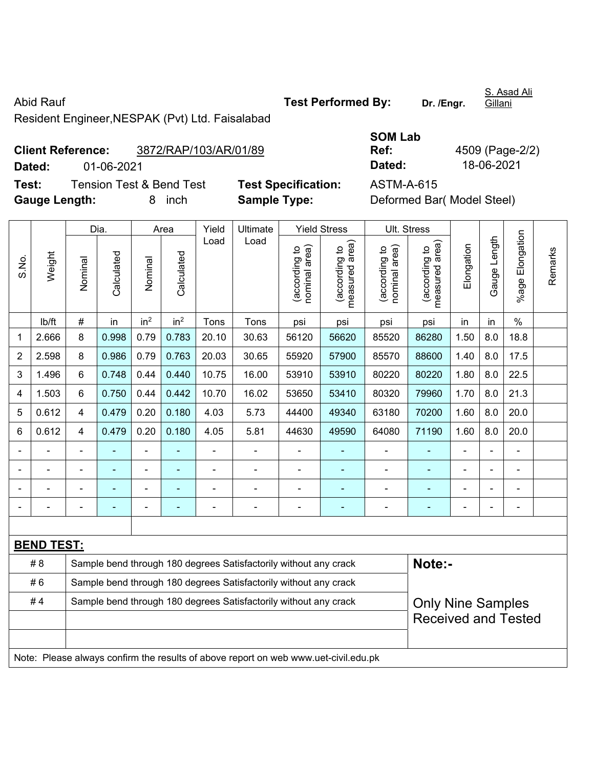Abid Rauf **Test Performed By:** Dr. /Engr. Resident Engineer,NESPAK (Pvt) Ltd. Faisalabad

**Client Reference:** 3872/RAP/103/AR/01/89 **Dated:** 01-06-2021 **Dated:** 18-06-2021 **Test:** Tension Test & Bend Test **Test Specification:** ASTM-A-615 **Gauge Length:** 8 inch **Sample Type:** Deformed Bar( Model Steel)

Dia. | Area | Yield | Ultimate | Yield Stress | Ult. Stress %age Elongation %age Elongation Gauge Length Load Load Gauge Length (according to<br>measured area) measured area) measured area) (according to<br>nominal area) (according to<br>nominal area) nominal area) nominal area) (according to<br>measured area) Elongation Elongation (according to (according to (according to (according to Remarks Remarks Weight **Calculated Calculated** Calculated Calculated S.No. Nominal Nominal Vominal Nominal | lb/ft | # | in | in<sup>2</sup> | in<sup>2</sup> | Tons | Tons | psi | psi | psi | psi | in | in | % 1 | 2.666 | 8 | 0.998 | 0.79 | 0.783 | 20.10 | 30.63 | 56120 | 56620 | 85520 | 86280 | 1.50 | 8.0 | 18.8 2 | 2.598 | 8 | 0.986 | 0.79 | 0.763 | 20.03 | 30.65 | 55920 | 57900 | 85570 | 88600 | 1.40 | 8.0 | 17.5 3 | 1.496 | 6 | 0.748 | 0.44 | 0.440 | 10.75 | 16.00 | 53910 | 53910 | 80220 | 80220 | 1.80 | 8.0 | 22.5 4 | 1.503 | 6 | 0.750 | 0.44 | 0.442 | 10.70 | 16.02 | 53650 | 53410 | 80320 | 79960 | 1.70 | 8.0 | 21.3 5 | 0.612 | 4 | 0.479 | 0.20 | 0.180 | 4.03 | 5.73 | 44400 | 49340 | 63180 | 70200 | 1.60 | 8.0 | 20.0 6 0.612 4 0.479 0.20 0.180 4.05 5.81 44630 49590 64080 71190 1.60 8.0 20.0 - - - - - - - - - - - - - - - - - - - - - - - - - - - - - - - - - - - - - - - - - - - - - - - - - - - - - - - - - - - - **BEND TEST:**  # 8 Sample bend through 180 degrees Satisfactorily without any crack **Note:- Note:** #6 Sample bend through 180 degrees Satisfactorily without any crack #4 Sample bend through 180 degrees Satisfactorily without any crack Only Nine Samples Received and Tested Note: Please always confirm the results of above report on web www.uet-civil.edu.pk

**SOM Lab Ref:** 4509 (Page-2/2)

S. Asad Ali

**Gillani**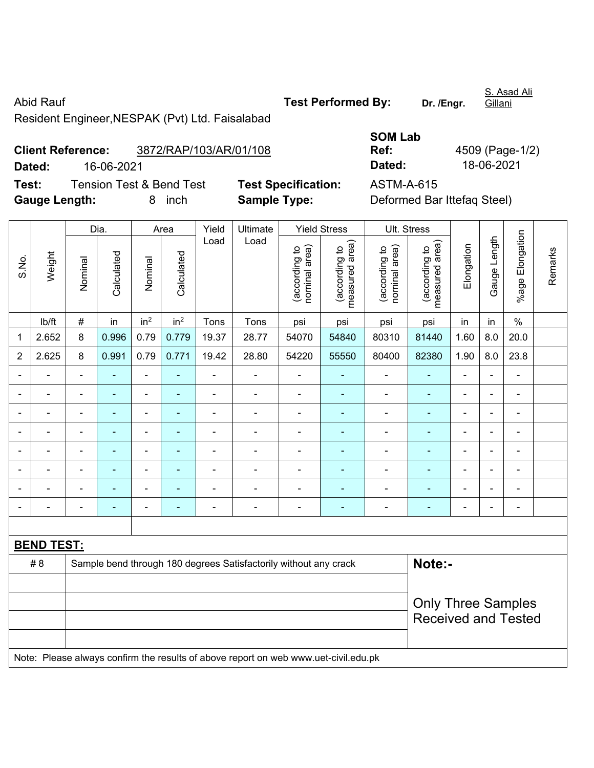Abid Rauf **Test Performed By:** Dr. /Engr. Resident Engineer,NESPAK (Pvt) Ltd. Faisalabad

**Client Reference:** 3872/RAP/103/AR/01/108 **Dated:** 16-06-2021 **Dated:** 18-06-2021 **Test:** Tension Test & Bend Test **Test Specification:** ASTM-A-615 **Gauge Length:** 8 inch **Sample Type:** Deformed Bar Ittefaq Steel)

Dia. | Area | Yield | Ultimate | Yield Stress | Ult. Stress %age Elongation %age Elongation Gauge Length Load Load Gauge Length (according to<br>measured area) measured area) measured area) (according to<br>nominal area) (according to<br>nominal area) (according to<br>measured area) nominal area) nominal area) Elongation Elongation (according to (according to (according to (according to Remarks Remarks Weight **Calculated Calculated** Calculated Calculated S.No. Nominal Nominal Nominal Nominal | lb/ft | # | in | in<sup>2</sup> | in<sup>2</sup> | Tons | Tons | psi | psi | psi | psi | in | in | % 1 | 2.652 | 8 | 0.996 | 0.79 | 0.779 | 19.37 | 28.77 | 54070 | 54840 | 80310 | 81440 | 1.60 | 8.0 | 20.0 2 | 2.625 | 8 | 0.991 | 0.79 | 0.771 | 19.42 | 28.80 | 54220 | 55550 | 80400 | 82380 | 1.90 | 8.0 | 23.8 - - - - - - - - - - - - - - - - - - - - - - - - - - - - - - - - - - - - - - - - - - - - - - - - - - - - - - - - - - - - - - - - - - - - - - - - - - - - - - - - - - - - - - - - - - - - - - - - - - - - - - - - - - - - - - - - - - - - - - - - **BEND TEST:**  # 8 Sample bend through 180 degrees Satisfactorily without any crack **Note:- Note:** Only Three Samples Received and Tested Note: Please always confirm the results of above report on web www.uet-civil.edu.pk

**SOM Lab Ref:** 4509 (Page-1/2)

S. Asad Ali Gillani